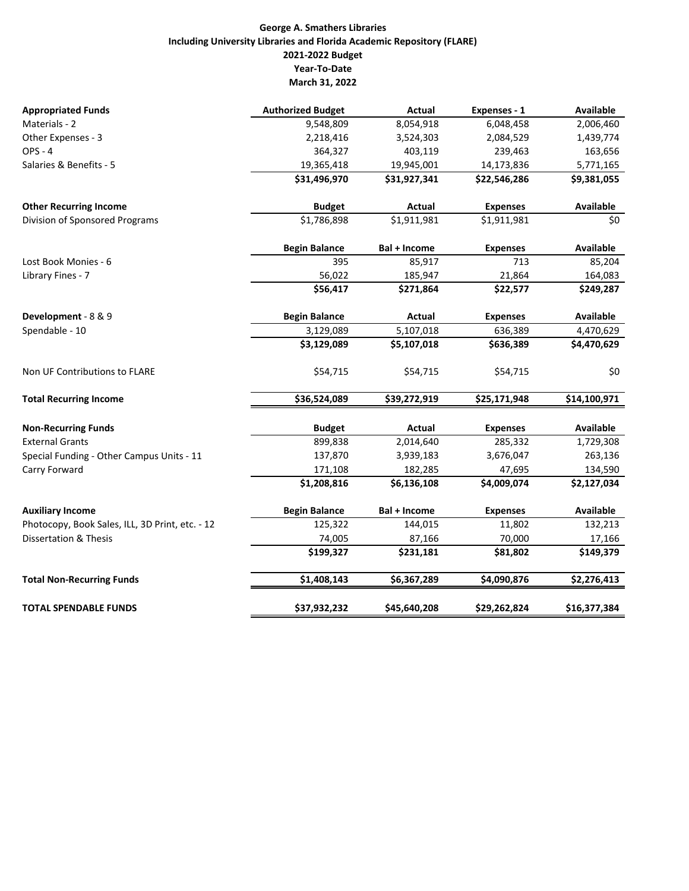## **George A. Smathers Libraries Including University Libraries and Florida Academic Repository (FLARE) 2021‐2022 Budget Year‐To‐Date March 31, 2022**

| <b>Appropriated Funds</b>                       | <b>Authorized Budget</b> | Actual        | Expenses - 1    | Available        |
|-------------------------------------------------|--------------------------|---------------|-----------------|------------------|
| Materials - 2                                   | 9,548,809                | 8,054,918     | 6,048,458       | 2,006,460        |
| Other Expenses - 3                              | 2,218,416                | 3,524,303     | 2,084,529       | 1,439,774        |
| <b>OPS - 4</b>                                  | 364,327                  | 403,119       | 239,463         | 163,656          |
| Salaries & Benefits - 5                         | 19,365,418               | 19,945,001    | 14,173,836      | 5,771,165        |
|                                                 | \$31,496,970             | \$31,927,341  | \$22,546,286    | \$9,381,055      |
| <b>Other Recurring Income</b>                   | <b>Budget</b>            | <b>Actual</b> | <b>Expenses</b> | Available        |
| Division of Sponsored Programs                  | \$1,786,898              | \$1,911,981   | \$1,911,981     | \$0              |
|                                                 | <b>Begin Balance</b>     | Bal + Income  | <b>Expenses</b> | Available        |
| Lost Book Monies - 6                            | 395                      | 85,917        | 713             | 85,204           |
| Library Fines - 7                               | 56,022                   | 185,947       | 21,864          | 164,083          |
|                                                 | \$56,417                 | \$271,864     | \$22,577        | \$249,287        |
| Development - 8 & 9                             | <b>Begin Balance</b>     | Actual        | <b>Expenses</b> | <b>Available</b> |
| Spendable - 10                                  | 3,129,089                | 5,107,018     | 636,389         | 4,470,629        |
|                                                 | \$3,129,089              | \$5,107,018   | \$636,389       | \$4,470,629      |
| Non UF Contributions to FLARE                   | \$54,715                 | \$54,715      | \$54,715        | \$0              |
| <b>Total Recurring Income</b>                   | \$36,524,089             | \$39,272,919  | \$25,171,948    | \$14,100,971     |
| <b>Non-Recurring Funds</b>                      | <b>Budget</b>            | Actual        | <b>Expenses</b> | <b>Available</b> |
| <b>External Grants</b>                          | 899,838                  | 2,014,640     | 285,332         | 1,729,308        |
| Special Funding - Other Campus Units - 11       | 137,870                  | 3,939,183     | 3,676,047       | 263,136          |
| Carry Forward                                   | 171,108                  | 182,285       | 47,695          | 134,590          |
|                                                 | \$1,208,816              | \$6,136,108   | \$4,009,074     | \$2,127,034      |
| <b>Auxiliary Income</b>                         | <b>Begin Balance</b>     | Bal + Income  | <b>Expenses</b> | <b>Available</b> |
| Photocopy, Book Sales, ILL, 3D Print, etc. - 12 | 125,322                  | 144,015       | 11,802          | 132,213          |
| <b>Dissertation &amp; Thesis</b>                | 74,005                   | 87,166        | 70,000          | 17,166           |
|                                                 | \$199,327                | \$231,181     | \$81,802        | \$149,379        |
| <b>Total Non-Recurring Funds</b>                | \$1,408,143              | \$6,367,289   | \$4,090,876     | \$2,276,413      |
| <b>TOTAL SPENDABLE FUNDS</b>                    | \$37,932,232             | \$45,640,208  | \$29,262,824    | \$16,377,384     |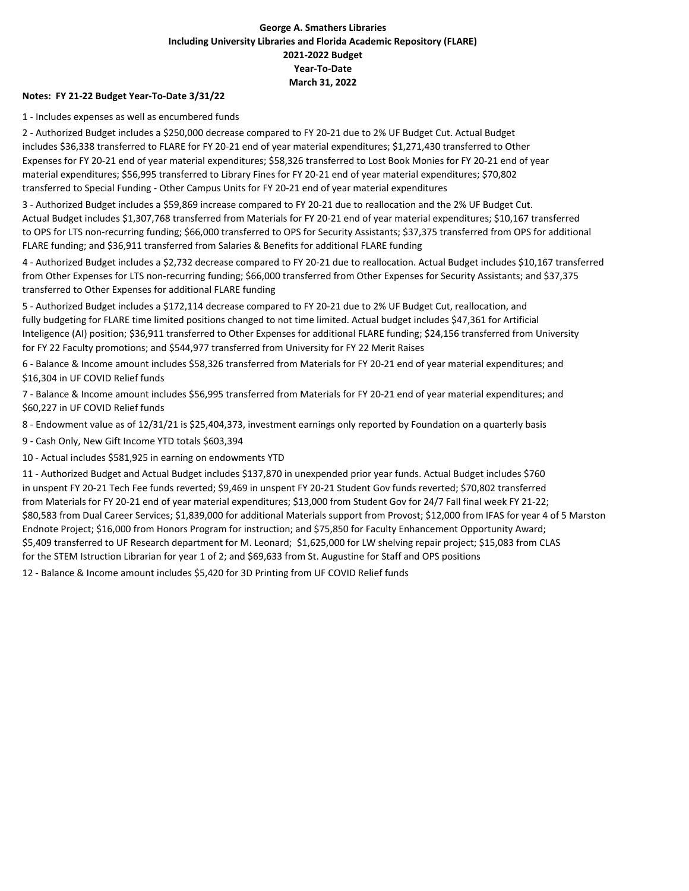## **George A. Smathers Libraries Including University Libraries and Florida Academic Repository (FLARE) 2021‐2022 Budget Year‐To‐Date March 31, 2022**

#### **Notes: FY 21‐22 Budget Year‐To‐Date 3/31/22**

1 ‐ Includes expenses as well as encumbered funds

2 ‐ Authorized Budget includes a \$250,000 decrease compared to FY 20‐21 due to 2% UF Budget Cut. Actual Budget includes \$36,338 transferred to FLARE for FY 20‐21 end of year material expenditures; \$1,271,430 transferred to Other Expenses for FY 20‐21 end of year material expenditures; \$58,326 transferred to Lost Book Monies for FY 20‐21 end of year material expenditures; \$56,995 transferred to Library Fines for FY 20‐21 end of year material expenditures; \$70,802 transferred to Special Funding ‐ Other Campus Units for FY 20‐21 end of year material expenditures

3 ‐ Authorized Budget includes a \$59,869 increase compared to FY 20‐21 due to reallocation and the 2% UF Budget Cut. Actual Budget includes \$1,307,768 transferred from Materials for FY 20‐21 end of year material expenditures; \$10,167 transferred to OPS for LTS non‐recurring funding; \$66,000 transferred to OPS for Security Assistants; \$37,375 transferred from OPS for additional FLARE funding; and \$36,911 transferred from Salaries & Benefits for additional FLARE funding

4 ‐ Authorized Budget includes a \$2,732 decrease compared to FY 20‐21 due to reallocation. Actual Budget includes \$10,167 transferred from Other Expenses for LTS non-recurring funding; \$66,000 transferred from Other Expenses for Security Assistants; and \$37,375 transferred to Other Expenses for additional FLARE funding

5 - Authorized Budget includes a \$172,114 decrease compared to FY 20-21 due to 2% UF Budget Cut, reallocation, and fully budgeting for FLARE time limited positions changed to not time limited. Actual budget includes \$47,361 for Artificial Inteligence (AI) position; \$36,911 transferred to Other Expenses for additional FLARE funding; \$24,156 transferred from University for FY 22 Faculty promotions; and \$544,977 transferred from University for FY 22 Merit Raises

6 ‐ Balance & Income amount includes \$58,326 transferred from Materials for FY 20‐21 end of year material expenditures; and \$16,304 in UF COVID Relief funds

7 ‐ Balance & Income amount includes \$56,995 transferred from Materials for FY 20‐21 end of year material expenditures; and \$60,227 in UF COVID Relief funds

8 ‐ Endowment value as of 12/31/21 is \$25,404,373, investment earnings only reported by Foundation on a quarterly basis

9 ‐ Cash Only, New Gift Income YTD totals \$603,394

10 ‐ Actual includes \$581,925 in earning on endowments YTD

11 ‐ Authorized Budget and Actual Budget includes \$137,870 in unexpended prior year funds. Actual Budget includes \$760 in unspent FY 20‐21 Tech Fee funds reverted; \$9,469 in unspent FY 20‐21 Student Gov funds reverted; \$70,802 transferred from Materials for FY 20‐21 end of year material expenditures; \$13,000 from Student Gov for 24/7 Fall final week FY 21‐22; \$80,583 from Dual Career Services; \$1,839,000 for additional Materials support from Provost; \$12,000 from IFAS for year 4 of 5 Marston Endnote Project; \$16,000 from Honors Program for instruction; and \$75,850 for Faculty Enhancement Opportunity Award; \$5,409 transferred to UF Research department for M. Leonard; \$1,625,000 for LW shelving repair project; \$15,083 from CLAS for the STEM Istruction Librarian for year 1 of 2; and \$69,633 from St. Augustine for Staff and OPS positions

12 - Balance & Income amount includes \$5,420 for 3D Printing from UF COVID Relief funds